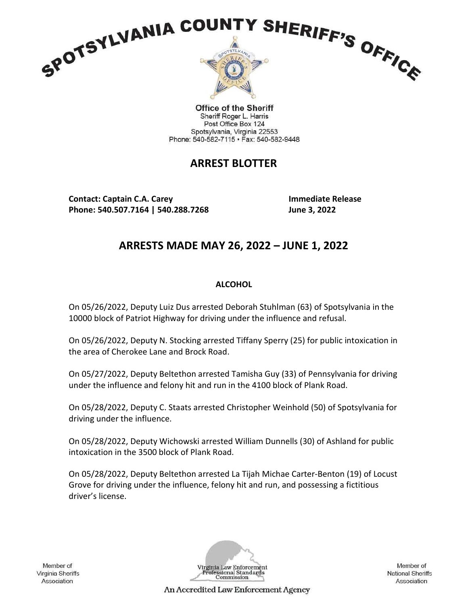

**Office of the Sheriff** Sheriff Roger L. Harris Post Office Box 124 Spotsylvania, Virginia 22553 Phone: 540-582-7115 · Fax: 540-582-9448

# ARREST BLOTTER

Contact: Captain C.A. Carey Immediate Release Phone: 540.507.7164 | 540.288.7268 June 3, 2022

# ARRESTS MADE MAY 26, 2022 – JUNE 1, 2022

## **ALCOHOL**

On 05/26/2022, Deputy Luiz Dus arrested Deborah Stuhlman (63) of Spotsylvania in the 10000 block of Patriot Highway for driving under the influence and refusal.

On 05/26/2022, Deputy N. Stocking arrested Tiffany Sperry (25) for public intoxication in the area of Cherokee Lane and Brock Road.

On 05/27/2022, Deputy Beltethon arrested Tamisha Guy (33) of Pennsylvania for driving under the influence and felony hit and run in the 4100 block of Plank Road.

On 05/28/2022, Deputy C. Staats arrested Christopher Weinhold (50) of Spotsylvania for driving under the influence.

On 05/28/2022, Deputy Wichowski arrested William Dunnells (30) of Ashland for public intoxication in the 3500 block of Plank Road.

On 05/28/2022, Deputy Beltethon arrested La Tijah Michae Carter-Benton (19) of Locust Grove for driving under the influence, felony hit and run, and possessing a fictitious driver's license.

Member of Virginia Sheriffs Association



Member of **National Sheriffs** Association

An Accredited Law Enforcement Agency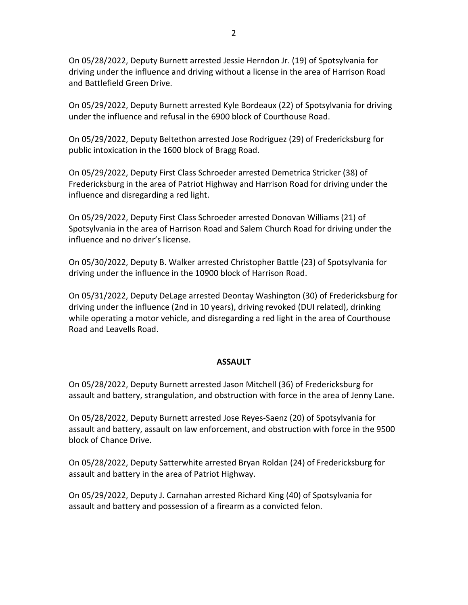On 05/28/2022, Deputy Burnett arrested Jessie Herndon Jr. (19) of Spotsylvania for driving under the influence and driving without a license in the area of Harrison Road and Battlefield Green Drive.

On 05/29/2022, Deputy Burnett arrested Kyle Bordeaux (22) of Spotsylvania for driving under the influence and refusal in the 6900 block of Courthouse Road.

On 05/29/2022, Deputy Beltethon arrested Jose Rodriguez (29) of Fredericksburg for public intoxication in the 1600 block of Bragg Road.

On 05/29/2022, Deputy First Class Schroeder arrested Demetrica Stricker (38) of Fredericksburg in the area of Patriot Highway and Harrison Road for driving under the influence and disregarding a red light.

On 05/29/2022, Deputy First Class Schroeder arrested Donovan Williams (21) of Spotsylvania in the area of Harrison Road and Salem Church Road for driving under the influence and no driver's license.

On 05/30/2022, Deputy B. Walker arrested Christopher Battle (23) of Spotsylvania for driving under the influence in the 10900 block of Harrison Road.

On 05/31/2022, Deputy DeLage arrested Deontay Washington (30) of Fredericksburg for driving under the influence (2nd in 10 years), driving revoked (DUI related), drinking while operating a motor vehicle, and disregarding a red light in the area of Courthouse Road and Leavells Road.

#### ASSAULT

On 05/28/2022, Deputy Burnett arrested Jason Mitchell (36) of Fredericksburg for assault and battery, strangulation, and obstruction with force in the area of Jenny Lane.

On 05/28/2022, Deputy Burnett arrested Jose Reyes-Saenz (20) of Spotsylvania for assault and battery, assault on law enforcement, and obstruction with force in the 9500 block of Chance Drive.

On 05/28/2022, Deputy Satterwhite arrested Bryan Roldan (24) of Fredericksburg for assault and battery in the area of Patriot Highway.

On 05/29/2022, Deputy J. Carnahan arrested Richard King (40) of Spotsylvania for assault and battery and possession of a firearm as a convicted felon.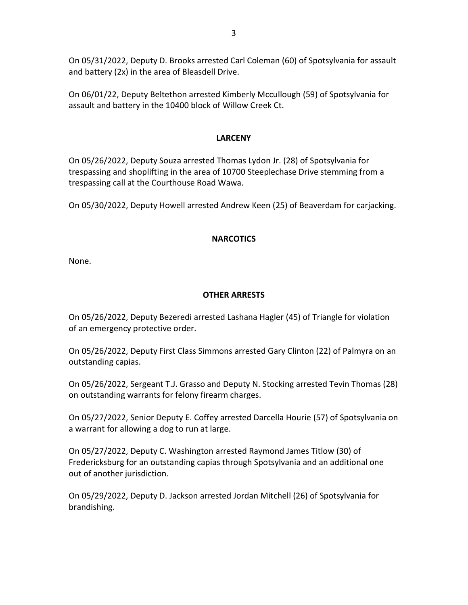On 05/31/2022, Deputy D. Brooks arrested Carl Coleman (60) of Spotsylvania for assault and battery (2x) in the area of Bleasdell Drive.

On 06/01/22, Deputy Beltethon arrested Kimberly Mccullough (59) of Spotsylvania for assault and battery in the 10400 block of Willow Creek Ct.

### LARCENY

On 05/26/2022, Deputy Souza arrested Thomas Lydon Jr. (28) of Spotsylvania for trespassing and shoplifting in the area of 10700 Steeplechase Drive stemming from a trespassing call at the Courthouse Road Wawa.

On 05/30/2022, Deputy Howell arrested Andrew Keen (25) of Beaverdam for carjacking.

### **NARCOTICS**

None.

## OTHER ARRESTS

On 05/26/2022, Deputy Bezeredi arrested Lashana Hagler (45) of Triangle for violation of an emergency protective order.

On 05/26/2022, Deputy First Class Simmons arrested Gary Clinton (22) of Palmyra on an outstanding capias.

On 05/26/2022, Sergeant T.J. Grasso and Deputy N. Stocking arrested Tevin Thomas (28) on outstanding warrants for felony firearm charges.

On 05/27/2022, Senior Deputy E. Coffey arrested Darcella Hourie (57) of Spotsylvania on a warrant for allowing a dog to run at large.

On 05/27/2022, Deputy C. Washington arrested Raymond James Titlow (30) of Fredericksburg for an outstanding capias through Spotsylvania and an additional one out of another jurisdiction.

On 05/29/2022, Deputy D. Jackson arrested Jordan Mitchell (26) of Spotsylvania for brandishing.